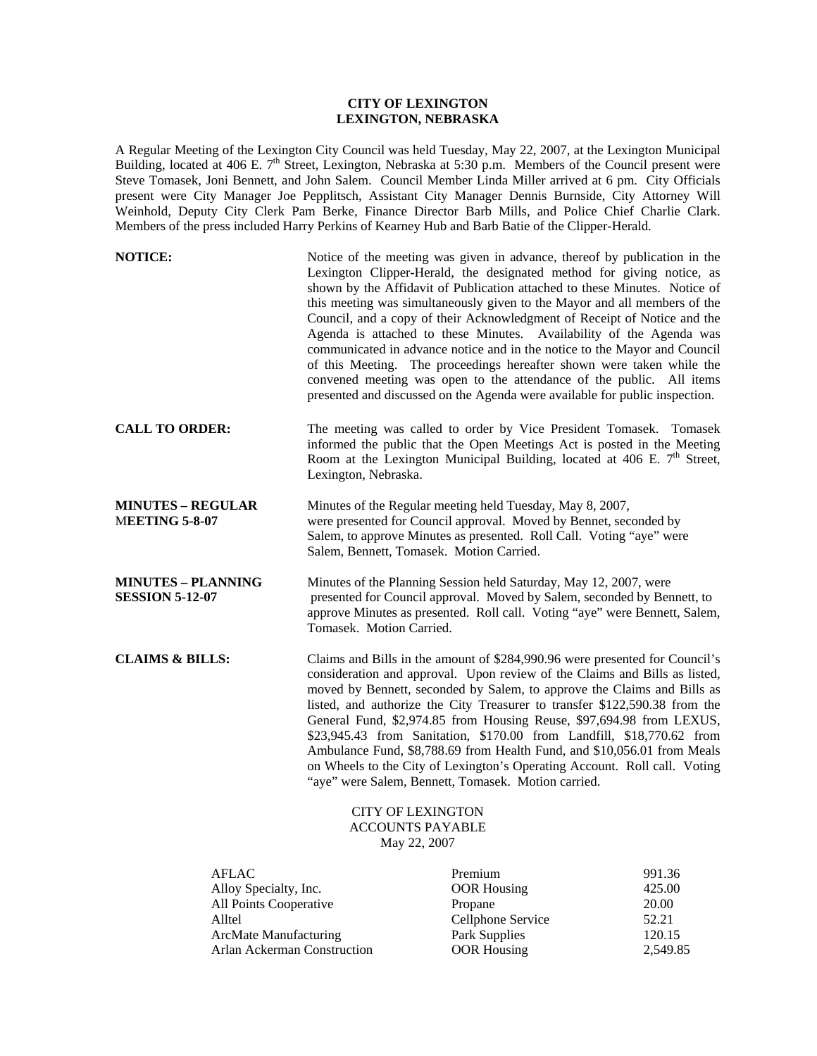## **CITY OF LEXINGTON LEXINGTON, NEBRASKA**

A Regular Meeting of the Lexington City Council was held Tuesday, May 22, 2007, at the Lexington Municipal Building, located at 406 E. 7<sup>th</sup> Street, Lexington, Nebraska at 5:30 p.m. Members of the Council present were Steve Tomasek, Joni Bennett, and John Salem. Council Member Linda Miller arrived at 6 pm. City Officials present were City Manager Joe Pepplitsch, Assistant City Manager Dennis Burnside, City Attorney Will Weinhold, Deputy City Clerk Pam Berke, Finance Director Barb Mills, and Police Chief Charlie Clark. Members of the press included Harry Perkins of Kearney Hub and Barb Batie of the Clipper-Herald.

| <b>NOTICE:</b>                                      | Notice of the meeting was given in advance, thereof by publication in the<br>Lexington Clipper-Herald, the designated method for giving notice, as<br>shown by the Affidavit of Publication attached to these Minutes. Notice of<br>this meeting was simultaneously given to the Mayor and all members of the<br>Council, and a copy of their Acknowledgment of Receipt of Notice and the<br>Agenda is attached to these Minutes. Availability of the Agenda was<br>communicated in advance notice and in the notice to the Mayor and Council<br>of this Meeting. The proceedings hereafter shown were taken while the<br>convened meeting was open to the attendance of the public. All items<br>presented and discussed on the Agenda were available for public inspection. |
|-----------------------------------------------------|-------------------------------------------------------------------------------------------------------------------------------------------------------------------------------------------------------------------------------------------------------------------------------------------------------------------------------------------------------------------------------------------------------------------------------------------------------------------------------------------------------------------------------------------------------------------------------------------------------------------------------------------------------------------------------------------------------------------------------------------------------------------------------|
| <b>CALL TO ORDER:</b>                               | The meeting was called to order by Vice President Tomasek. Tomasek<br>informed the public that the Open Meetings Act is posted in the Meeting<br>Room at the Lexington Municipal Building, located at 406 E. $7th$ Street,<br>Lexington, Nebraska.                                                                                                                                                                                                                                                                                                                                                                                                                                                                                                                            |
| <b>MINUTES - REGULAR</b><br><b>MEETING 5-8-07</b>   | Minutes of the Regular meeting held Tuesday, May 8, 2007,<br>were presented for Council approval. Moved by Bennet, seconded by<br>Salem, to approve Minutes as presented. Roll Call. Voting "aye" were<br>Salem, Bennett, Tomasek. Motion Carried.                                                                                                                                                                                                                                                                                                                                                                                                                                                                                                                            |
| <b>MINUTES – PLANNING</b><br><b>SESSION 5-12-07</b> | Minutes of the Planning Session held Saturday, May 12, 2007, were<br>presented for Council approval. Moved by Salem, seconded by Bennett, to<br>approve Minutes as presented. Roll call. Voting "aye" were Bennett, Salem,<br>Tomasek. Motion Carried.                                                                                                                                                                                                                                                                                                                                                                                                                                                                                                                        |
| <b>CLAIMS &amp; BILLS:</b>                          | Claims and Bills in the amount of \$284,990.96 were presented for Council's<br>consideration and approval. Upon review of the Claims and Bills as listed,<br>moved by Bennett, seconded by Salem, to approve the Claims and Bills as<br>listed, and authorize the City Treasurer to transfer \$122,590.38 from the<br>General Fund, \$2,974.85 from Housing Reuse, \$97,694.98 from LEXUS,<br>\$23,945.43 from Sanitation, \$170.00 from Landfill, \$18,770.62 from<br>Ambulance Fund, \$8,788.69 from Health Fund, and \$10,056.01 from Meals<br>on Wheels to the City of Lexington's Operating Account. Roll call. Voting<br>"aye" were Salem, Bennett, Tomasek. Motion carried.                                                                                            |
|                                                     | <b>CITY OF LEXINGTON</b>                                                                                                                                                                                                                                                                                                                                                                                                                                                                                                                                                                                                                                                                                                                                                      |

ACCOUNTS PAYABLE May 22, 2007

| <b>AFLAC</b>                 | Premium            | 991.36   |
|------------------------------|--------------------|----------|
| Alloy Specialty, Inc.        | <b>OOR Housing</b> | 425.00   |
| All Points Cooperative       | Propane            | 20.00    |
| Alltel                       | Cellphone Service  | 52.21    |
| <b>ArcMate Manufacturing</b> | Park Supplies      | 120.15   |
| Arlan Ackerman Construction  | <b>OOR</b> Housing | 2.549.85 |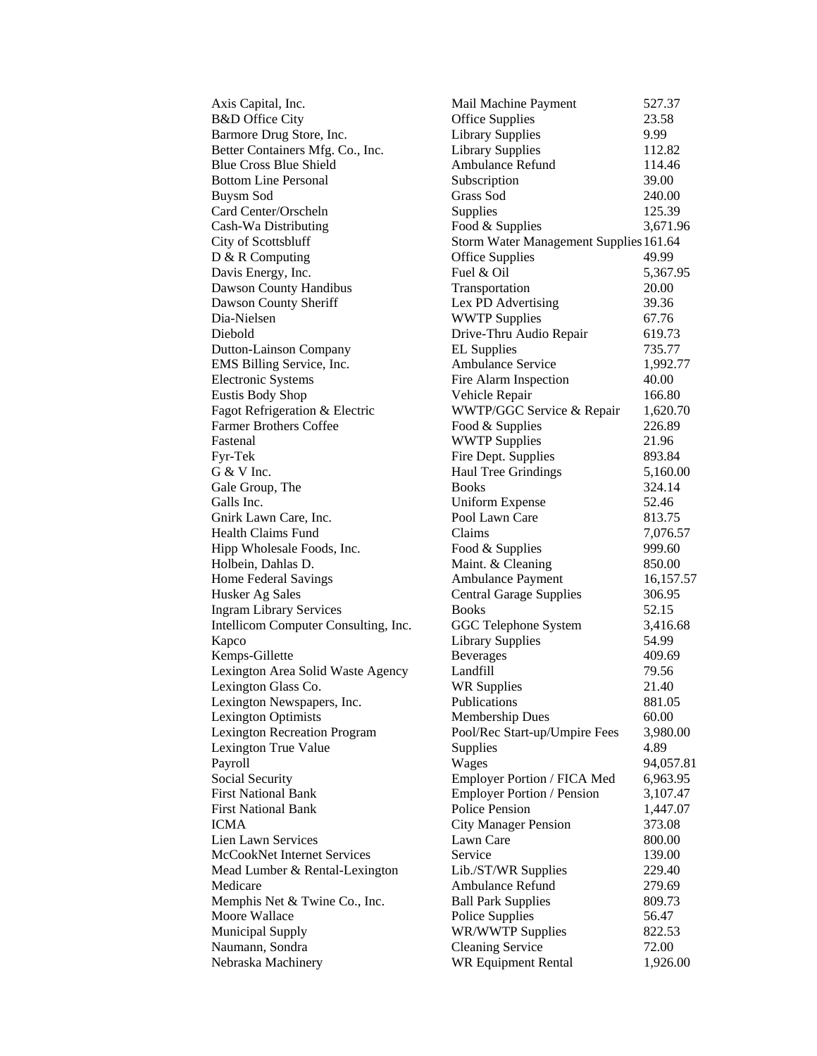| Axis Capital, Inc.                   | Mail Machine Payment                   | 527.37    |
|--------------------------------------|----------------------------------------|-----------|
| <b>B&amp;D</b> Office City           | <b>Office Supplies</b>                 | 23.58     |
| Barmore Drug Store, Inc.             | <b>Library Supplies</b>                | 9.99      |
| Better Containers Mfg. Co., Inc.     | <b>Library Supplies</b>                | 112.82    |
| <b>Blue Cross Blue Shield</b>        | Ambulance Refund                       | 114.46    |
| <b>Bottom Line Personal</b>          | Subscription                           | 39.00     |
| <b>Buysm Sod</b>                     | Grass Sod                              | 240.00    |
| Card Center/Orscheln                 | Supplies                               | 125.39    |
| Cash-Wa Distributing                 | Food & Supplies                        | 3,671.96  |
| City of Scottsbluff                  | Storm Water Management Supplies 161.64 |           |
| D & R Computing                      | <b>Office Supplies</b>                 | 49.99     |
| Davis Energy, Inc.                   | Fuel & Oil                             | 5,367.95  |
| Dawson County Handibus               | Transportation                         | 20.00     |
| Dawson County Sheriff                | Lex PD Advertising                     | 39.36     |
| Dia-Nielsen                          | <b>WWTP Supplies</b>                   | 67.76     |
| Diebold                              | Drive-Thru Audio Repair                | 619.73    |
| Dutton-Lainson Company               | <b>EL</b> Supplies                     | 735.77    |
| EMS Billing Service, Inc.            | Ambulance Service                      | 1,992.77  |
| <b>Electronic Systems</b>            | Fire Alarm Inspection                  | 40.00     |
| Eustis Body Shop                     | Vehicle Repair                         | 166.80    |
| Fagot Refrigeration & Electric       | WWTP/GGC Service & Repair              | 1,620.70  |
| <b>Farmer Brothers Coffee</b>        |                                        | 226.89    |
| Fastenal                             | Food & Supplies                        |           |
|                                      | <b>WWTP Supplies</b>                   | 21.96     |
| Fyr-Tek                              | Fire Dept. Supplies                    | 893.84    |
| G & V Inc.                           | Haul Tree Grindings                    | 5,160.00  |
| Gale Group, The                      | <b>Books</b>                           | 324.14    |
| Galls Inc.                           | Uniform Expense                        | 52.46     |
| Gnirk Lawn Care, Inc.                | Pool Lawn Care                         | 813.75    |
| <b>Health Claims Fund</b>            | Claims                                 | 7,076.57  |
| Hipp Wholesale Foods, Inc.           | Food & Supplies                        | 999.60    |
| Holbein, Dahlas D.                   | Maint. & Cleaning                      | 850.00    |
| Home Federal Savings                 | Ambulance Payment                      | 16,157.57 |
| Husker Ag Sales                      | <b>Central Garage Supplies</b>         | 306.95    |
| <b>Ingram Library Services</b>       | <b>Books</b>                           | 52.15     |
| Intellicom Computer Consulting, Inc. | GGC Telephone System                   | 3,416.68  |
| Kapco                                | <b>Library Supplies</b>                | 54.99     |
| Kemps-Gillette                       | <b>Beverages</b>                       | 409.69    |
| Lexington Area Solid Waste Agency    | Landfill                               | 79.56     |
| Lexington Glass Co.                  | <b>WR Supplies</b>                     | 21.40     |
| Lexington Newspapers, Inc.           | Publications                           | 881.05    |
| <b>Lexington Optimists</b>           | <b>Membership Dues</b>                 | 60.00     |
| <b>Lexington Recreation Program</b>  | Pool/Rec Start-up/Umpire Fees          | 3,980.00  |
| Lexington True Value                 | Supplies                               | 4.89      |
| Payroll                              | Wages                                  | 94,057.81 |
| Social Security                      | Employer Portion / FICA Med            | 6,963.95  |
| <b>First National Bank</b>           | <b>Employer Portion / Pension</b>      | 3,107.47  |
| <b>First National Bank</b>           | Police Pension                         | 1,447.07  |
| <b>ICMA</b>                          | <b>City Manager Pension</b>            | 373.08    |
| Lien Lawn Services                   | Lawn Care                              | 800.00    |
| McCookNet Internet Services          | Service                                | 139.00    |
| Mead Lumber & Rental-Lexington       | Lib./ST/WR Supplies                    | 229.40    |
| Medicare                             | Ambulance Refund                       | 279.69    |
| Memphis Net & Twine Co., Inc.        | <b>Ball Park Supplies</b>              | 809.73    |
| Moore Wallace                        | Police Supplies                        | 56.47     |
| <b>Municipal Supply</b>              | WR/WWTP Supplies                       | 822.53    |
| Naumann, Sondra                      | <b>Cleaning Service</b>                | 72.00     |
| Nebraska Machinery                   | <b>WR Equipment Rental</b>             | 1,926.00  |
|                                      |                                        |           |

| Mail Machine Payment                    | 527.37   |
|-----------------------------------------|----------|
| Office Supplies                         | 23.58    |
| Library Supplies                        | 9.99     |
| Library Supplies                        | 112.82   |
| Ambulance Refund                        | 114.46   |
| Subscription                            | 39.00    |
| Grass Sod                               | 240.00   |
| Supplies                                | 125.39   |
| Food & Supplies                         | 3,671.96 |
| Storm Water Management Supplies 161.64  |          |
| Office Supplies                         | 49.99    |
| Fuel & Oil                              | 5,367.95 |
| Transportation                          | 20.00    |
| Lex PD Advertising                      | 39.36    |
|                                         |          |
| <b>WWTP Supplies</b>                    | 67.76    |
| <b>Drive-Thru Audio Repair</b>          | 619.73   |
| EL Supplies                             | 735.77   |
| Ambulance Service                       | 1,992.77 |
| Fire Alarm Inspection                   | 40.00    |
| Vehicle Repair                          | 166.80   |
| WWTP/GGC Service & Repair               | 1,620.70 |
| Food & Supplies                         | 226.89   |
| <b>WWTP Supplies</b>                    | 21.96    |
| Fire Dept. Supplies                     | 893.84   |
| Haul Tree Grindings                     | 5,160.00 |
| Books                                   | 324.14   |
| Jniform Expense                         | 52.46    |
| Pool Lawn Care                          | 813.75   |
| Claims                                  | 7,076.57 |
| Food & Supplies                         | 999.60   |
| Maint. & Cleaning                       | 850.00   |
| Ambulance Payment                       | 16,157.5 |
|                                         | 306.95   |
| <b>Central Garage Supplies</b><br>Books | 52.15    |
|                                         |          |
| GGC Telephone System                    | 3,416.68 |
| Library Supplies                        | 54.99    |
| Beverages                               | 409.69   |
| Landfill                                | 79.56    |
| <b>WR Supplies</b>                      | 21.40    |
| Publications                            | 881.05   |
| Membership Dues                         | 60.00    |
| Pool/Rec Start-up/Umpire Fees           | 3,980.00 |
| Supplies                                | 4.89     |
| <b>Wages</b>                            | 94,057.8 |
| Employer Portion / FICA Med             | 6,963.95 |
| <b>Employer Portion / Pension</b>       | 3,107.47 |
| Police Pension                          | 1,447.07 |
| <b>City Manager Pension</b>             | 373.08   |
| Lawn Care                               | 800.00   |
| Service                                 | 139.00   |
| Lib./ST/WR Supplies                     | 229.40   |
| Ambulance Refund                        | 279.69   |
| <b>Ball Park Supplies</b>               | 809.73   |
|                                         |          |
| Police Supplies                         | 56.47    |
| <b>WR/WWTP Supplies</b>                 | 822.53   |
| Cleaning Service                        | 72.00    |
| <b>WR Equipment Rental</b>              | 1,926.00 |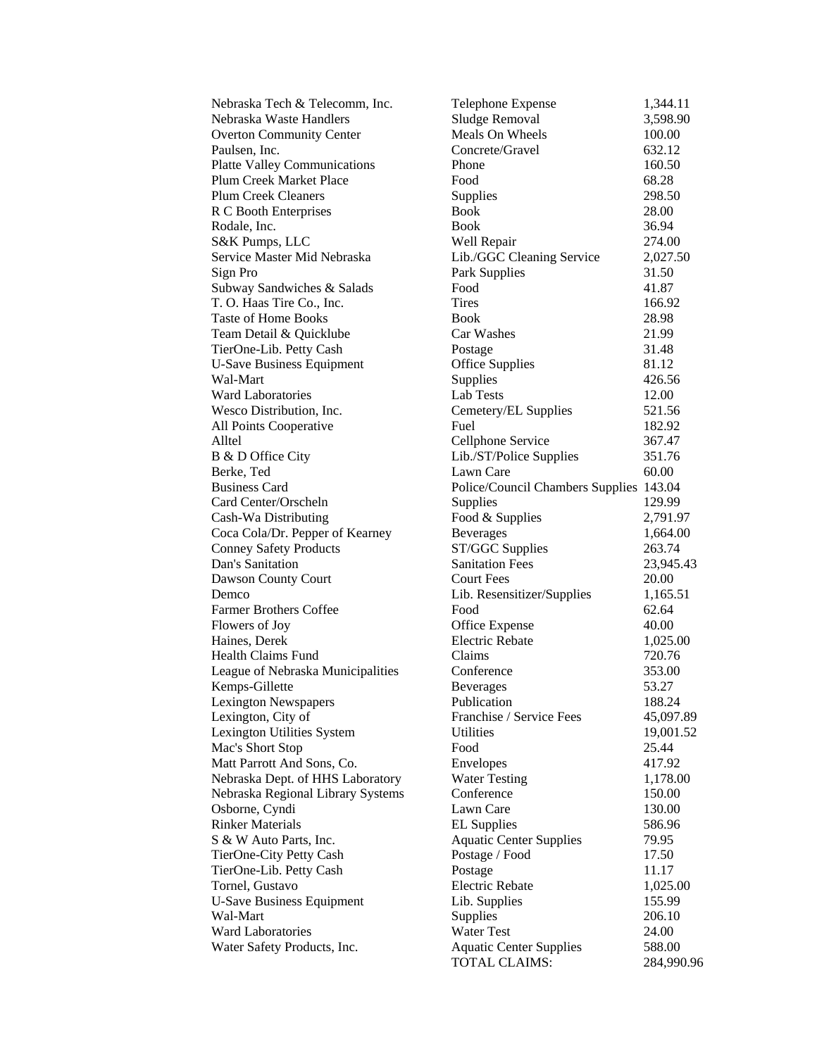| Nebraska Tech & Telecomm, Inc.      | Telephone Expense                       | 1,344.11   |
|-------------------------------------|-----------------------------------------|------------|
| Nebraska Waste Handlers             | Sludge Removal                          | 3,598.90   |
| <b>Overton Community Center</b>     | Meals On Wheels                         | 100.00     |
| Paulsen, Inc.                       | Concrete/Gravel                         | 632.12     |
| <b>Platte Valley Communications</b> | Phone                                   | 160.50     |
| Plum Creek Market Place             | Food                                    | 68.28      |
| <b>Plum Creek Cleaners</b>          | Supplies                                | 298.50     |
| R C Booth Enterprises               | <b>Book</b>                             | 28.00      |
| Rodale, Inc.                        | <b>Book</b>                             | 36.94      |
| S&K Pumps, LLC                      | Well Repair                             | 274.00     |
| Service Master Mid Nebraska         | Lib./GGC Cleaning Service               | 2,027.50   |
| Sign Pro                            | Park Supplies                           | 31.50      |
| Subway Sandwiches & Salads          | Food                                    | 41.87      |
| T. O. Haas Tire Co., Inc.           | <b>Tires</b>                            | 166.92     |
| <b>Taste of Home Books</b>          | <b>Book</b>                             | 28.98      |
| Team Detail & Quicklube             | Car Washes                              | 21.99      |
| TierOne-Lib. Petty Cash             | Postage                                 | 31.48      |
| <b>U-Save Business Equipment</b>    | <b>Office Supplies</b>                  | 81.12      |
| Wal-Mart                            | <b>Supplies</b>                         | 426.56     |
| <b>Ward Laboratories</b>            | Lab Tests                               | 12.00      |
| Wesco Distribution, Inc.            | Cemetery/EL Supplies                    | 521.56     |
| All Points Cooperative              | Fuel                                    | 182.92     |
| Alltel                              | Cellphone Service                       | 367.47     |
| B & D Office City                   | Lib./ST/Police Supplies                 | 351.76     |
| Berke, Ted                          | Lawn Care                               | 60.00      |
| <b>Business Card</b>                | Police/Council Chambers Supplies 143.04 |            |
| Card Center/Orscheln                | Supplies                                | 129.99     |
| Cash-Wa Distributing                | Food & Supplies                         | 2,791.97   |
| Coca Cola/Dr. Pepper of Kearney     | <b>Beverages</b>                        | 1,664.00   |
| <b>Conney Safety Products</b>       | ST/GGC Supplies                         | 263.74     |
| Dan's Sanitation                    | <b>Sanitation Fees</b>                  | 23,945.43  |
| Dawson County Court                 | <b>Court Fees</b>                       | 20.00      |
| Demco                               | Lib. Resensitizer/Supplies              | 1,165.51   |
| <b>Farmer Brothers Coffee</b>       | Food                                    | 62.64      |
| Flowers of Joy                      | Office Expense                          | 40.00      |
| Haines, Derek                       | <b>Electric Rebate</b>                  | 1,025.00   |
| <b>Health Claims Fund</b>           | Claims                                  | 720.76     |
| League of Nebraska Municipalities   | Conference                              | 353.00     |
| Kemps-Gillette                      | <b>Beverages</b>                        | 53.27      |
| <b>Lexington Newspapers</b>         | Publication                             | 188.24     |
| Lexington, City of                  | Franchise / Service Fees                | 45,097.89  |
| Lexington Utilities System          | Utilities                               | 19,001.52  |
| Mac's Short Stop                    | Food                                    | 25.44      |
| Matt Parrott And Sons, Co.          | Envelopes                               | 417.92     |
| Nebraska Dept. of HHS Laboratory    | <b>Water Testing</b>                    | 1,178.00   |
| Nebraska Regional Library Systems   | Conference                              | 150.00     |
| Osborne, Cyndi                      | Lawn Care                               | 130.00     |
| <b>Rinker Materials</b>             | <b>EL</b> Supplies                      | 586.96     |
| S & W Auto Parts, Inc.              | <b>Aquatic Center Supplies</b>          | 79.95      |
| TierOne-City Petty Cash             | Postage / Food                          | 17.50      |
| TierOne-Lib. Petty Cash             | Postage                                 | 11.17      |
| Tornel, Gustavo                     | <b>Electric Rebate</b>                  | 1,025.00   |
| <b>U-Save Business Equipment</b>    | Lib. Supplies                           | 155.99     |
| Wal-Mart                            | Supplies                                | 206.10     |
| <b>Ward Laboratories</b>            | <b>Water Test</b>                       | 24.00      |
| Water Safety Products, Inc.         | <b>Aquatic Center Supplies</b>          | 588.00     |
|                                     | TOTAL CLAIMS:                           | 284,990.96 |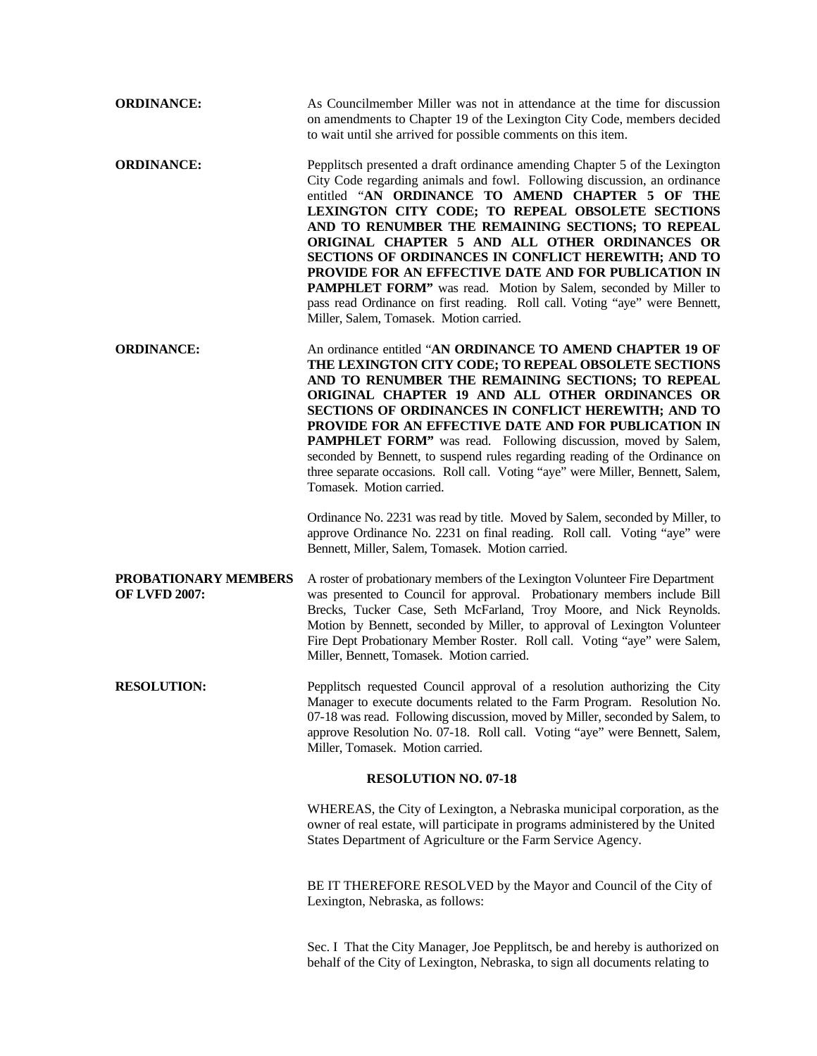| <b>ORDINANCE:</b>                            | As Councilmember Miller was not in attendance at the time for discussion<br>on amendments to Chapter 19 of the Lexington City Code, members decided<br>to wait until she arrived for possible comments on this item.                                                                                                                                                                                                                                                                                                                                                                                                                                                                                                                                                  |
|----------------------------------------------|-----------------------------------------------------------------------------------------------------------------------------------------------------------------------------------------------------------------------------------------------------------------------------------------------------------------------------------------------------------------------------------------------------------------------------------------------------------------------------------------------------------------------------------------------------------------------------------------------------------------------------------------------------------------------------------------------------------------------------------------------------------------------|
| <b>ORDINANCE:</b>                            | Pepplitsch presented a draft ordinance amending Chapter 5 of the Lexington<br>City Code regarding animals and fowl. Following discussion, an ordinance<br>entitled "AN ORDINANCE TO AMEND CHAPTER 5 OF THE<br>LEXINGTON CITY CODE; TO REPEAL OBSOLETE SECTIONS<br>AND TO RENUMBER THE REMAINING SECTIONS; TO REPEAL<br>ORIGINAL CHAPTER 5 AND ALL OTHER ORDINANCES OR<br>SECTIONS OF ORDINANCES IN CONFLICT HEREWITH; AND TO<br>PROVIDE FOR AN EFFECTIVE DATE AND FOR PUBLICATION IN<br>PAMPHLET FORM" was read. Motion by Salem, seconded by Miller to<br>pass read Ordinance on first reading. Roll call. Voting "aye" were Bennett,<br>Miller, Salem, Tomasek. Motion carried.                                                                                     |
| <b>ORDINANCE:</b>                            | An ordinance entitled "AN ORDINANCE TO AMEND CHAPTER 19 OF<br>THE LEXINGTON CITY CODE; TO REPEAL OBSOLETE SECTIONS<br>AND TO RENUMBER THE REMAINING SECTIONS; TO REPEAL<br>ORIGINAL CHAPTER 19 AND ALL OTHER ORDINANCES OR<br>SECTIONS OF ORDINANCES IN CONFLICT HEREWITH; AND TO<br>PROVIDE FOR AN EFFECTIVE DATE AND FOR PUBLICATION IN<br>PAMPHLET FORM" was read. Following discussion, moved by Salem,<br>seconded by Bennett, to suspend rules regarding reading of the Ordinance on<br>three separate occasions. Roll call. Voting "aye" were Miller, Bennett, Salem,<br>Tomasek. Motion carried.<br>Ordinance No. 2231 was read by title. Moved by Salem, seconded by Miller, to<br>approve Ordinance No. 2231 on final reading. Roll call. Voting "aye" were |
| PROBATIONARY MEMBERS<br><b>OF LVFD 2007:</b> | Bennett, Miller, Salem, Tomasek. Motion carried.<br>A roster of probationary members of the Lexington Volunteer Fire Department<br>was presented to Council for approval. Probationary members include Bill<br>Brecks, Tucker Case, Seth McFarland, Troy Moore, and Nick Reynolds.<br>Motion by Bennett, seconded by Miller, to approval of Lexington Volunteer<br>Fire Dept Probationary Member Roster. Roll call. Voting "aye" were Salem,<br>Miller, Bennett, Tomasek. Motion carried.                                                                                                                                                                                                                                                                             |
| <b>RESOLUTION:</b>                           | Pepplitsch requested Council approval of a resolution authorizing the City<br>Manager to execute documents related to the Farm Program. Resolution No.<br>07-18 was read. Following discussion, moved by Miller, seconded by Salem, to<br>approve Resolution No. 07-18. Roll call. Voting "aye" were Bennett, Salem,<br>Miller, Tomasek. Motion carried.                                                                                                                                                                                                                                                                                                                                                                                                              |
|                                              | <b>RESOLUTION NO. 07-18</b>                                                                                                                                                                                                                                                                                                                                                                                                                                                                                                                                                                                                                                                                                                                                           |
|                                              | WHEREAS, the City of Lexington, a Nebraska municipal corporation, as the<br>owner of real estate, will participate in programs administered by the United<br>States Department of Agriculture or the Farm Service Agency.                                                                                                                                                                                                                                                                                                                                                                                                                                                                                                                                             |
|                                              | BE IT THEREFORE RESOLVED by the Mayor and Council of the City of<br>Lexington, Nebraska, as follows:                                                                                                                                                                                                                                                                                                                                                                                                                                                                                                                                                                                                                                                                  |

Sec. I That the City Manager, Joe Pepplitsch, be and hereby is authorized on behalf of the City of Lexington, Nebraska, to sign all documents relating to